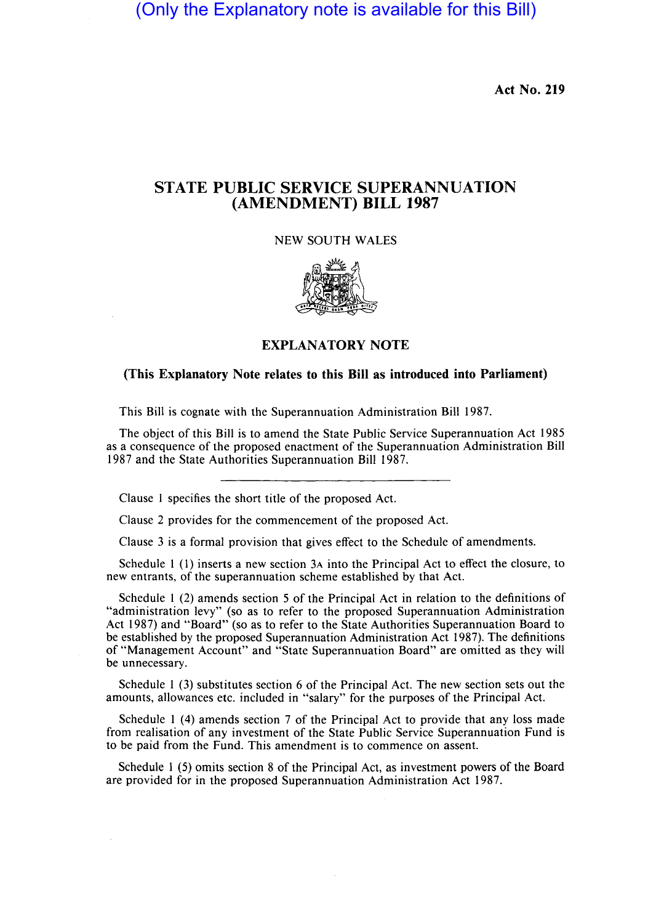(Only the Explanatory note is available for this Bill)

**Act No. 219** 

## **STATE PUBLIC SERVICE SUPERANNUATION (AMENDMENT) BILL 1987**

NEW SOUTH WALES



**EXPLANATORY NOTE** 

## **(This Explanatory Note relates to this Bill as introduced into Parliament)**

This Bill is cognate with the Superannuation Administration Bill 1987.

The object of this Bill is to amend the State Public Service Superannuation Act 1985 as a consequence of the proposed enactment of the Superannuation Administration Bill 1987 and the State Authorities Superannuation Bill 1987.

Clause 1 specifies the short title of the proposed Act.

Clause 2 provides for the commencement of the proposed Act.

Clause 3 is a formal provision that gives effect to the Schedule of amendments.

Schedule 1 (1) inserts a new section 3A into the Principal Act to effect the closure, to new entrants, of the superannuation scheme established by that Act.

Schedule 1 (2) amends section 5 of the Principal Act in relation to the definitions of "administration levy" (so as to refer to the proposed Superannuation Administration Act 1987) and "Board" (so as to refer to the State Authorities Superannuation Board to be established by the proposed Superannuation Administration Act 1987). The definitions of "Management Account" and "State Superannuation Board" are omitted as they will be unnecessary.

Schedule 1 (3) substitutes section 6 of the Principal Act. The new section sets out the amounts, allowances etc. included in "salary" for the purposes of the Principal Act.

Schedule 1 (4) amends section 7 of the Principal Act to provide that any loss made from realisation of any investment of the State Public Service Superannuation Fund is to be paid from the Fund. This amendment is to commence on assent.

Schedule 1 (5) omits section 8 of the Principal Act, as investment powers of the Board are provided for in the proposed Superannuation Administration Act 1987.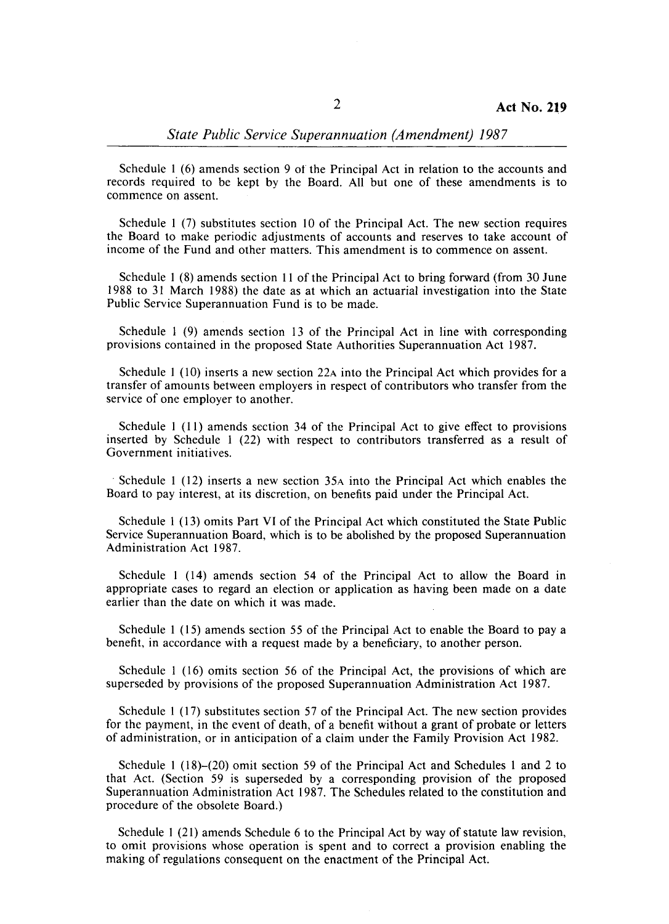## *State Public Service Superannuation (Amendment) 1987*

Schedule I (6) amends section 9 ot the Principal Act in relation to the accounts and records required to be kept by the Board. All but one of these amendments is to commence on assent.

Schedule I (7) substitutes section 10 of the Principal Act. The new section requires the Board to make periodic adjustments of accounts and reserves to take account of income of the Fund and other matters. This amendment is to commence on assent.

Schedule I (8) amends section **11** of the Principal Act to bring forward (from 30 June 1988 to 31 March 1988) the date as at which an actuarial investigation into the State Public Service Superannuation Fund is to be made.

Schedule 1 (9) amends section 13 of the Principal Act in line with corresponding provisions contained in the proposed State Authorities Superannuation Act 1987.

Schedule 1 (10) inserts a new section 22A into the Principal Act which provides for a transfer of amounts between employers in respect of contributors who transfer from the service of one employer to another.

Schedule 1 (11) amends section 34 of the Principal Act to give effect to provisions inserted by Schedule 1 (22) with respect to contributors transferred as a result of Government initiatives .

. Schedule 1 (12) inserts a new section 35A into the Principal Act which enables the Board to pay interest, at its discretion, on benefits paid under the Principal Act.

Schedule I (13) omits Part VI of the Principal Act which constituted the State Public Service Superannuation Board, which is to be abolished by the proposed Superannuation Administration Act 1987.

Schedule 1 (14) amends section 54 of the Principal Act to allow the Board in appropriate cases to regard an election or application as having been made on a date earlier than the date on which it was made.

Schedule 1 (15) amends section 55 of the Principal Act to enable the Board to pay a benefit, in accordance with a request made by a beneficiary, to another person.

Schedule I (16) omits section 56 of the Principal Act, the provisions of which are superseded by provisions of the proposed Superannuation Administration Act 1987.

Schedule I (17) substitutes section 57 of the Principal Act. The new section provides for the payment, in the event of death, of a benefit without a grant of probate or letters of administration, or in anticipation of a claim under the Family Provision Act 1982.

Schedule I (18)-(20) omit section 59 of the Principal Act and Schedules 1 and 2 to that Act. (Section 59 is superseded by a corresponding provision of the proposed Superannuation Administration Act 1987. The Schedules related to the constitution and procedure of the obsolete Board.)

Schedule I (21) amends Schedule 6 to the Principal Act by way of statute law revision, to omit provisions whose operation is spent and to correct a provision enabling the making of regulations consequent on the enactment of the Principal Act.